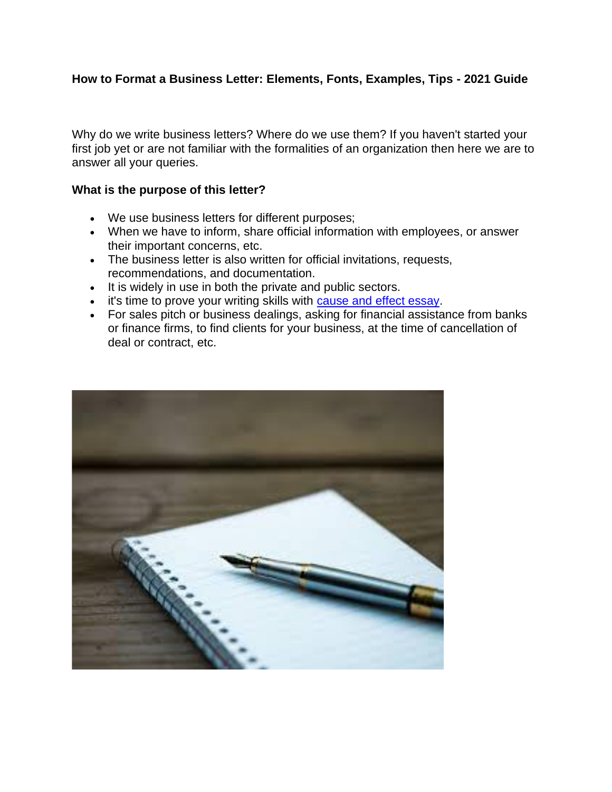## **How to Format a Business Letter: Elements, Fonts, Examples, Tips - 2021 Guide**

Why do we write business letters? Where do we use them? If you haven't started your first job yet or are not familiar with the formalities of an organization then here we are to answer all your queries.

#### **What is the purpose of this letter?**

- We use business letters for different purposes;
- When we have to inform, share official information with employees, or answer their important concerns, etc.
- The business letter is also written for official invitations, requests, recommendations, and documentation.
- It is widely in use in both the private and public sectors.
- it's time to prove your writing skills with [cause and effect essay.](https://perfectessaywriting.com/blog/cause-and-effect-essay)
- For sales pitch or business dealings, asking for financial assistance from banks or finance firms, to find clients for your business, at the time of cancellation of deal or contract, etc.